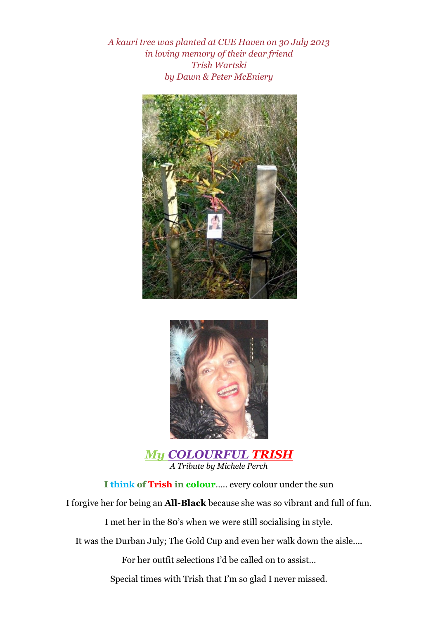*A kauri tree was planted at CUE Haven on 30 July 2013 in loving memory of their dear friend Trish Wartski by Dawn & Peter McEniery*





*My COLOURFUL TRISH A Tribute by Michele Perch*

**I think of Trish in colour**….. every colour under the sun

I forgive her for being an **All-Black** because she was so vibrant and full of fun.

I met her in the 80's when we were still socialising in style.

It was the Durban July; The Gold Cup and even her walk down the aisle….

For her outfit selections I'd be called on to assist…

Special times with Trish that I'm so glad I never missed.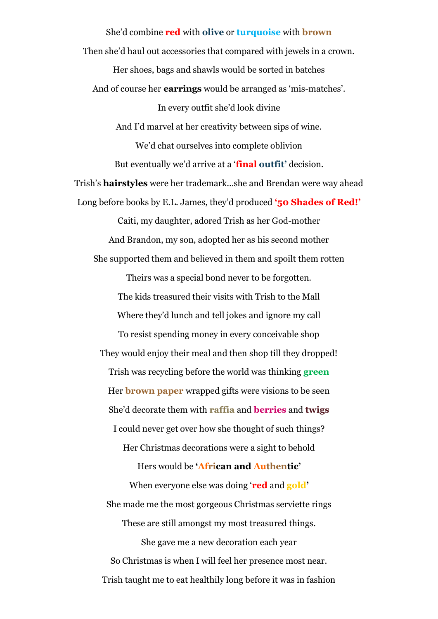She'd combine **red** with **olive** or **turquoise** with **brown** Then she'd haul out accessories that compared with jewels in a crown. Her shoes, bags and shawls would be sorted in batches And of course her **earrings** would be arranged as 'mis-matches'. In every outfit she'd look divine And I'd marvel at her creativity between sips of wine. We'd chat ourselves into complete oblivion But eventually we'd arrive at a '**final outfit'** decision. Trish's **hairstyles** were her trademark…she and Brendan were way ahead Long before books by E.L. James, they'd produced **'50 Shades of Red!'** Caiti, my daughter, adored Trish as her God-mother And Brandon, my son, adopted her as his second mother She supported them and believed in them and spoilt them rotten Theirs was a special bond never to be forgotten. The kids treasured their visits with Trish to the Mall Where they'd lunch and tell jokes and ignore my call To resist spending money in every conceivable shop They would enjoy their meal and then shop till they dropped! Trish was recycling before the world was thinking **green** Her **brown paper** wrapped gifts were visions to be seen She'd decorate them with **raffia** and **berries** and **twigs** I could never get over how she thought of such things? Her Christmas decorations were a sight to behold Hers would be **'African and Authentic'** When everyone else was doing '**red** and **gold'** She made me the most gorgeous Christmas serviette rings These are still amongst my most treasured things. She gave me a new decoration each year So Christmas is when I will feel her presence most near. Trish taught me to eat healthily long before it was in fashion